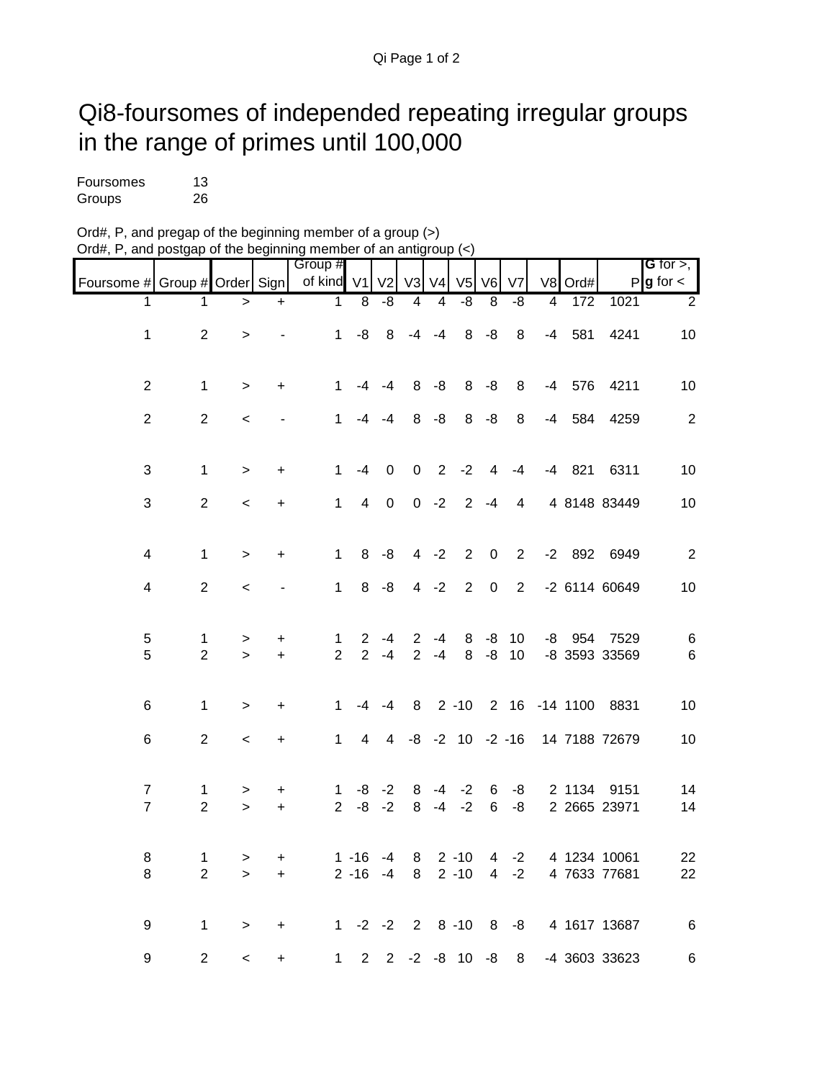## Qi8-foursomes of independed repeating irregular groups in the range of primes until 100,000

| Foursomes | 13 |
|-----------|----|
| Groups    | 26 |

| Ord#, P, and pregap of the beginning member of a group $(>)$                                       |  |
|----------------------------------------------------------------------------------------------------|--|
| Ord#, P, and postgap of the beginning member of an antigroup $\left\langle \epsilon \right\rangle$ |  |

|                                  |                                |              |                              | Group #             |                                  |                |                     |                |                         |                     |                |                |               |                              | <b>G</b> for $>$ , $\vert$ |
|----------------------------------|--------------------------------|--------------|------------------------------|---------------------|----------------------------------|----------------|---------------------|----------------|-------------------------|---------------------|----------------|----------------|---------------|------------------------------|----------------------------|
| Foursome # Group # Order Sign    |                                |              |                              | of kind V1          |                                  | V <sub>2</sub> |                     | V3 V4          | V <sub>5</sub>          | V <sub>6</sub>      | V <sub>7</sub> | V8             | Ord#          |                              | $P$ <b>g</b> for $\lt$     |
| 1                                | 1                              | $\geq$       | $\ddot{}$                    | $\mathbf 1$         | $\overline{8}$                   | $-8$           | $\overline{4}$      | $\overline{4}$ | $-8$                    | $\overline{8}$      | $-8$           | $\overline{4}$ | 172           | 1021                         | $\overline{2}$             |
| $\mathbf 1$                      | $\overline{2}$                 | $\geq$       |                              | 1                   | -8                               | 8              |                     | $-4 -4$        |                         | $8 - 8$             | 8              | $-4$           | 581           | 4241                         | 10                         |
| $\overline{2}$                   | $\mathbf{1}$                   | $\mathbf{L}$ | $\ddot{}$                    | 1                   |                                  | $-4 - 4$       | 8                   | $-8$           |                         | $8 - 8$             | 8              | -4             | 576           | 4211                         | 10                         |
| $\overline{2}$                   | $\overline{2}$                 | $\,<\,$      |                              | 1                   | -4                               | -4             | 8                   | -8             | 8                       | $-8$                | 8              | -4             | 584           | 4259                         | $\sqrt{2}$                 |
| 3                                | $\mathbf{1}$                   | $\geq$       | $\ddot{}$                    | $\mathbf 1$         | $-4$                             | $\mathbf 0$    |                     |                | $0 \t2 \t-2$            | $\overline{4}$      | $-4$           |                | $-4$ 821      | 6311                         | 10                         |
| 3                                | $\overline{2}$                 | $\,<$        | $\ddot{}$                    | $\mathbf{1}$        | $\overline{4}$                   | $\mathbf 0$    |                     | $0 -2$         | $\overline{2}$          | $-4$                | 4              |                |               | 4 8148 83449                 | 10                         |
| 4                                | $\mathbf 1$                    | $\geq$       | $\ddot{}$                    | $\mathbf 1$         | 8                                | -8             |                     | $4 -2$         | $\overline{2}$          | $\pmb{0}$           | $\overline{2}$ |                | $-2$ 892      | 6949                         | $\sqrt{2}$                 |
| $\overline{\mathbf{4}}$          | $\overline{2}$                 | $\,<$        | $\qquad \qquad \blacksquare$ | $\mathbf{1}$        | 8                                | -8             |                     | $4 - 2$        | $\overline{2}$          | $\pmb{0}$           | $\overline{2}$ |                |               | -2 6114 60649                | 10                         |
| 5<br>5                           | 1<br>$\overline{2}$            | ><br>$\geq$  | +<br>$+$                     | 1<br>$\overline{2}$ | $\overline{2}$<br>$\overline{2}$ | -4<br>$-4$     | $\overline{2}$<br>2 | $-4$<br>$-4$   | 8<br>8                  | -8<br>$-8$          | 10<br>10       |                | $-8$ 954      | 7529<br>-8 3593 33569        | $\,6$<br>$\,6$             |
| 6                                | 1                              |              | $\ddot{}$                    | $\mathbf 1$         | -4                               | -4             | 8                   |                | $2 - 10$                |                     |                |                | 2 16 -14 1100 | 8831                         | 10                         |
|                                  |                                | $\geq$       |                              |                     |                                  |                |                     |                |                         |                     |                |                |               |                              |                            |
| 6                                | $\overline{2}$                 | $\,<\,$      | $\ddot{}$                    | $\mathbf{1}$        | 4                                | 4              |                     |                | $-8$ $-2$ 10 $-2$ $-16$ |                     |                |                |               | 14 7188 72679                | 10                         |
| $\overline{7}$<br>$\overline{7}$ | $\mathbf{1}$<br>$\overline{2}$ | ><br>$\geq$  | +<br>$\ddot{}$               | 1<br>$\overline{2}$ | -8<br>-8                         | $-2$<br>$-2$   | 8<br>8              | $-4$<br>$-4$   | $-2$<br>$-2$            | 6<br>$6\phantom{1}$ | -8<br>-8       |                | 2 1134        | 9151<br>2 2665 23971         | 14<br>14                   |
| 8<br>8                           | $\mathbf{1}$<br>$\overline{2}$ | ><br>$\geq$  | +<br>$\ddot{}$               |                     | $1 - 16$<br>$2 - 16$             | -4<br>$-4$     | 8<br>8              |                | $2 - 10$<br>$2 - 10$    | 4<br>4              | $-2$<br>$-2$   |                |               | 4 1234 10061<br>4 7633 77681 | 22<br>22                   |
| 9                                | $\mathbf{1}$                   | $\, >$       | $\ddot{}$                    | 1.                  |                                  | $-2$ $-2$      |                     |                | $28 - 10$               | 8                   | -8             |                |               | 4 1617 13687                 | $\,6$                      |
| 9                                | $\overline{2}$                 | $\prec$      | $\ddot{}$                    | $\mathbf{1}$        | $\overline{2}$                   | $\overline{2}$ |                     |                | $-2 -8 10 -8$           |                     | 8              |                |               | -4 3603 33623                | 6                          |